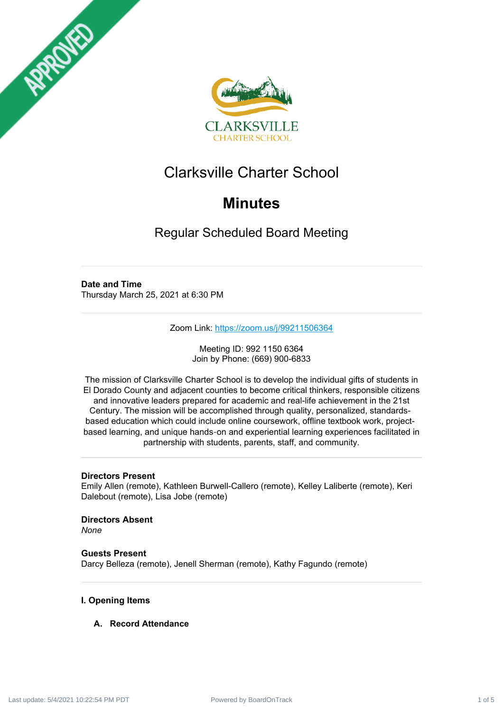



# Clarksville Charter School

# **Minutes**

Regular Scheduled Board Meeting

# **Date and Time**

Thursday March 25, 2021 at 6:30 PM

Zoom Link: <https://zoom.us/j/99211506364>

Meeting ID: 992 1150 6364 Join by Phone: (669) 900-6833

The mission of Clarksville Charter School is to develop the individual gifts of students in El Dorado County and adjacent counties to become critical thinkers, responsible citizens and innovative leaders prepared for academic and real-life achievement in the 21st Century. The mission will be accomplished through quality, personalized, standardsbased education which could include online coursework, offline textbook work, projectbased learning, and unique hands‐on and experiential learning experiences facilitated in partnership with students, parents, staff, and community.

# **Directors Present**

Emily Allen (remote), Kathleen Burwell-Callero (remote), Kelley Laliberte (remote), Keri Dalebout (remote), Lisa Jobe (remote)

**Directors Absent** *None*

**Guests Present** Darcy Belleza (remote), Jenell Sherman (remote), Kathy Fagundo (remote)

# **I. Opening Items**

# **A. Record Attendance**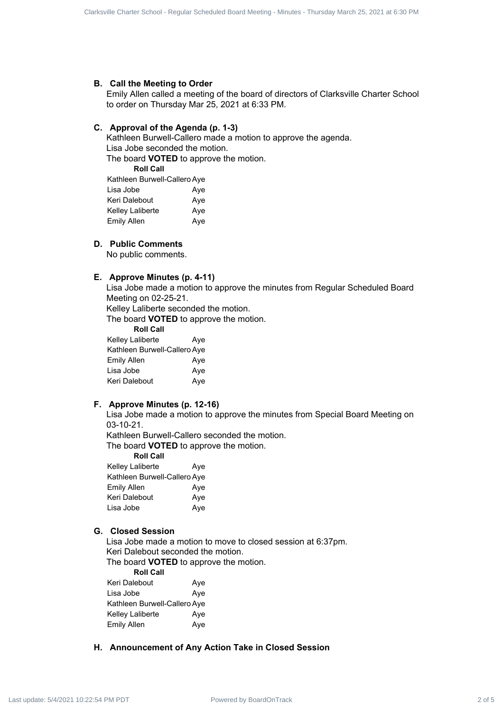#### **B. Call the Meeting to Order**

Emily Allen called a meeting of the board of directors of Clarksville Charter School to order on Thursday Mar 25, 2021 at 6:33 PM.

# **C. Approval of the Agenda (p. 1-3)**

Kathleen Burwell-Callero made a motion to approve the agenda. Lisa Jobe seconded the motion. The board **VOTED** to approve the motion. Curies Come Source Regular Scheduled Board - Regular Scheduled Board - Regular Scheduled Board - Regular School - Regular Scheduled Board - Regular Scheduled Board - Regular Scheduled Board - Regular Scheduled Board - Reg

**Roll Call**

| Kathleen Burwell-Callero Aye |     |
|------------------------------|-----|
| Lisa Jobe                    | Aye |
| Keri Dalebout                | Aye |
| Kelley Laliberte             | Aye |
| Emily Allen                  | Aye |
|                              |     |

# **D. Public Comments**

No public comments.

# **E. Approve Minutes (p. 4-11)**

Lisa Jobe made a motion to approve the minutes from Regular Scheduled Board Meeting on 02-25-21.

Kelley Laliberte seconded the motion.

The board **VOTED** to approve the motion.

**Roll Call**

| Kelley Laliberte             | Aye |
|------------------------------|-----|
| Kathleen Burwell-Callero Aye |     |
| Emily Allen                  | Aye |
| Lisa Jobe                    | Aye |
| Keri Dalebout                | Aye |

# **F. Approve Minutes (p. 12-16)**

Lisa Jobe made a motion to approve the minutes from Special Board Meeting on 03-10-21.

Kathleen Burwell-Callero seconded the motion.

The board **VOTED** to approve the motion.

**Roll Call**

| Kelley Laliberte             | Aye |
|------------------------------|-----|
| Kathleen Burwell-Callero Aye |     |
| Emily Allen                  | Aye |
| Keri Dalebout                | Aye |
| Lisa Jobe                    | Aye |
|                              |     |

# **G. Closed Session**

Lisa Jobe made a motion to move to closed session at 6:37pm. Keri Dalebout seconded the motion.

The board **VOTED** to approve the motion.

**Roll Call**

| Keri Dalebout                | Aye |
|------------------------------|-----|
| Lisa Jobe                    | Aye |
| Kathleen Burwell-Callero Aye |     |
| Kelley Laliberte             | Aye |
| Emily Allen                  | Aye |

# **H. Announcement of Any Action Take in Closed Session**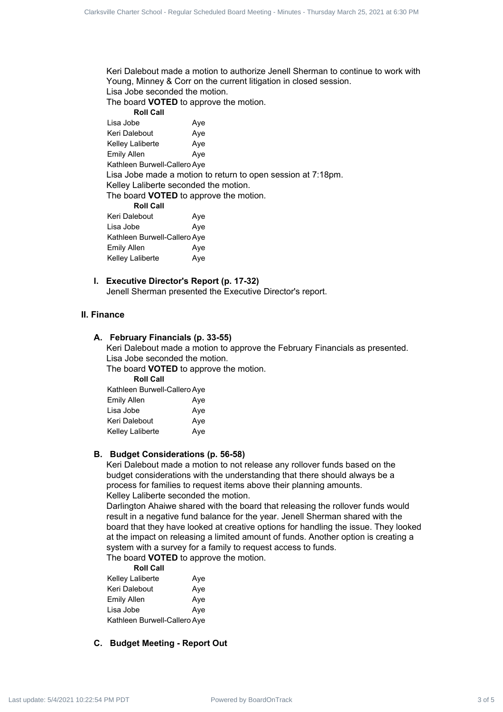Keri Dalebout made a motion to authorize Jenell Sherman to continue to work with Young, Minney & Corr on the current litigation in closed session. Lisa Jobe seconded the motion.

The board **VOTED** to approve the motion. **Roll Call** Lisa Jobe **Aye** Keri Dalebout Aye

Kelley Laliberte Aye Emily Allen Ave Kathleen Burwell-Callero Aye Lisa Jobe made a motion to return to open session at 7:18pm. Kelley Laliberte seconded the motion. The board **VOTED** to approve the motion. **Roll Call**

| Keri Dalebout                | Aye |
|------------------------------|-----|
| Lisa Jobe                    | Aye |
| Kathleen Burwell-Callero Aye |     |
| <b>Emily Allen</b>           | Aye |
| Kelley Laliberte             | Aye |

**I. Executive Director's Report (p. 17-32)** Jenell Sherman presented the Executive Director's report.

# **II. Finance**

# **A. February Financials (p. 33-55)**

Keri Dalebout made a motion to approve the February Financials as presented. Lisa Jobe seconded the motion.

The board **VOTED** to approve the motion.

**Roll Call**

Kathleen Burwell-Callero Aye Emily Allen Aye Lisa Jobe Aye Keri Dalebout Aye Kelley Laliberte Aye

# **B. Budget Considerations (p. 56-58)**

Keri Dalebout made a motion to not release any rollover funds based on the budget considerations with the understanding that there should always be a process for families to request items above their planning amounts. Kelley Laliberte seconded the motion.

Darlington Ahaiwe shared with the board that releasing the rollover funds would result in a negative fund balance for the year. Jenell Sherman shared with the board that they have looked at creative options for handling the issue. They looked at the impact on releasing a limited amount of funds. Another option is creating a system with a survey for a family to request access to funds. Cube of Contract 3 of Figure 3 of 5 Clarksville Charter School - Regular Scheduled Board Meeting - Minutes Charles School - Regular Schedules Charter Schedules - The Contract Schedules - The Contract Schedules - The Contr

The board **VOTED** to approve the motion.

**Roll Call**

| Kelley Laliberte             | Aye |
|------------------------------|-----|
| Keri Dalebout                | Aye |
| Emily Allen                  | Aye |
| Lisa Jobe                    | Aye |
| Kathleen Burwell-Callero Aye |     |

# **C. Budget Meeting - Report Out**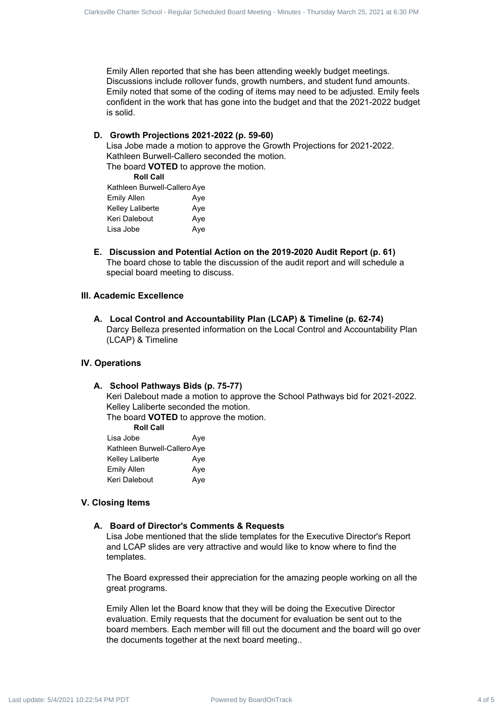Emily Allen reported that she has been attending weekly budget meetings. Discussions include rollover funds, growth numbers, and student fund amounts. Emily noted that some of the coding of items may need to be adjusted. Emily feels confident in the work that has gone into the budget and that the 2021-2022 budget is solid. Curies Cause have been the total charter school and power to the school of 5 Clarks a control of the Charter School - Regular Schedule Board Meeting - Regular Schedule Board Meeting - Regular Schedule Board Meeting - Minu

**D. Growth Projections 2021-2022 (p. 59-60)**

Lisa Jobe made a motion to approve the Growth Projections for 2021-2022. Kathleen Burwell-Callero seconded the motion. The board **VOTED** to approve the motion.

**Roll Call**

| Kathleen Burwell-Callero Aye |     |
|------------------------------|-----|
| Emily Allen                  | Aye |
| Kelley Laliberte             | Aye |
| Keri Dalebout                | Aye |
| Lisa Jobe                    | Aye |

**E. Discussion and Potential Action on the 2019-2020 Audit Report (p. 61)** The board chose to table the discussion of the audit report and will schedule a special board meeting to discuss.

# **III. Academic Excellence**

**A. Local Control and Accountability Plan (LCAP) & Timeline (p. 62-74)** Darcy Belleza presented information on the Local Control and Accountability Plan (LCAP) & Timeline

# **IV. Operations**

#### **A. School Pathways Bids (p. 75-77)**

Keri Dalebout made a motion to approve the School Pathways bid for 2021-2022. Kelley Laliberte seconded the motion.

The board **VOTED** to approve the motion. **Roll Call**

| ROIL GAIL                    |     |
|------------------------------|-----|
| Lisa Jobe                    | Aye |
| Kathleen Burwell-Callero Aye |     |
| Kelley Laliberte             | Aye |
| <b>Emily Allen</b>           | Aye |
| Keri Dalebout                | Aye |
|                              |     |

# **V. Closing Items**

# **A. Board of Director's Comments & Requests**

Lisa Jobe mentioned that the slide templates for the Executive Director's Report and LCAP slides are very attractive and would like to know where to find the templates.

The Board expressed their appreciation for the amazing people working on all the great programs.

Emily Allen let the Board know that they will be doing the Executive Director evaluation. Emily requests that the document for evaluation be sent out to the board members. Each member will fill out the document and the board will go over the documents together at the next board meeting..